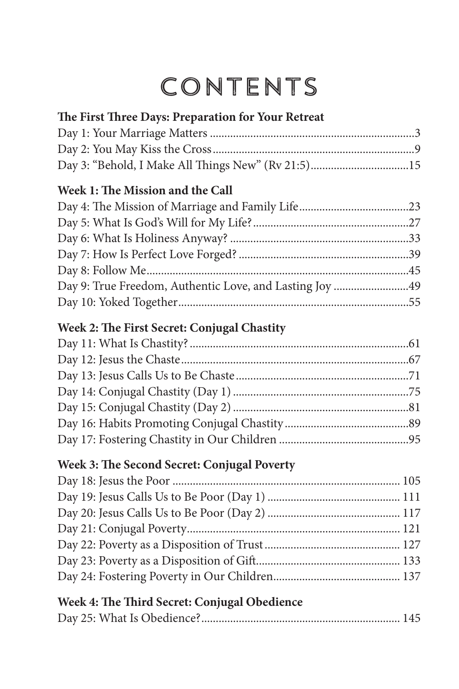## Contents

| The First Three Days: Preparation for Your Retreat      |  |
|---------------------------------------------------------|--|
|                                                         |  |
|                                                         |  |
|                                                         |  |
| Day 3: "Behold, I Make All Things New" (Rv 21:5)15      |  |
| Week 1: The Mission and the Call                        |  |
|                                                         |  |
|                                                         |  |
|                                                         |  |
|                                                         |  |
|                                                         |  |
| Day 9: True Freedom, Authentic Love, and Lasting Joy 49 |  |
|                                                         |  |
| Week 2: The First Secret: Conjugal Chastity             |  |
|                                                         |  |
|                                                         |  |
|                                                         |  |
|                                                         |  |
|                                                         |  |
|                                                         |  |
|                                                         |  |
| Week 3: The Second Secret: Conjugal Poverty             |  |
|                                                         |  |
|                                                         |  |
|                                                         |  |
|                                                         |  |
|                                                         |  |
|                                                         |  |
|                                                         |  |

## **Week 4: The Third Secret: Conjugal Obedience**

|--|--|